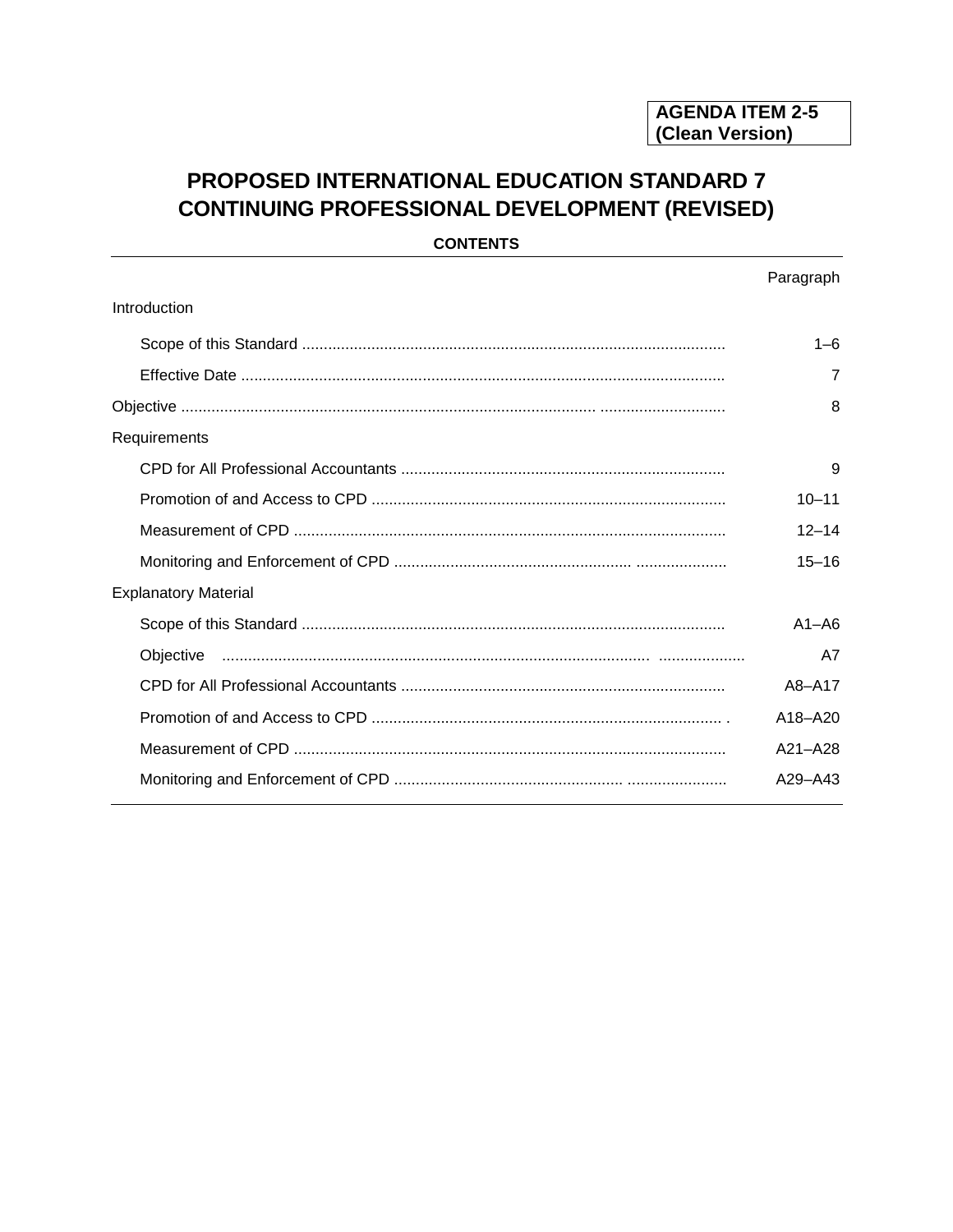# PROPOSED INTERNATIONAL EDUCATION STANDARD 7 **CONTINUING PROFESSIONAL DEVELOPMENT (REVISED)**

**CONTENTS** 

|                             | Paragraph   |
|-----------------------------|-------------|
| Introduction                |             |
|                             | 1–6         |
|                             | 7           |
|                             | 8           |
| Requirements                |             |
|                             | 9           |
|                             | $10 - 11$   |
|                             | $12 - 14$   |
|                             | $15 - 16$   |
| <b>Explanatory Material</b> |             |
|                             | $A1 - A6$   |
|                             | A7          |
|                             | A8-A17      |
|                             | A18-A20     |
|                             | $A21 - A28$ |
|                             | $A29 - A43$ |
|                             |             |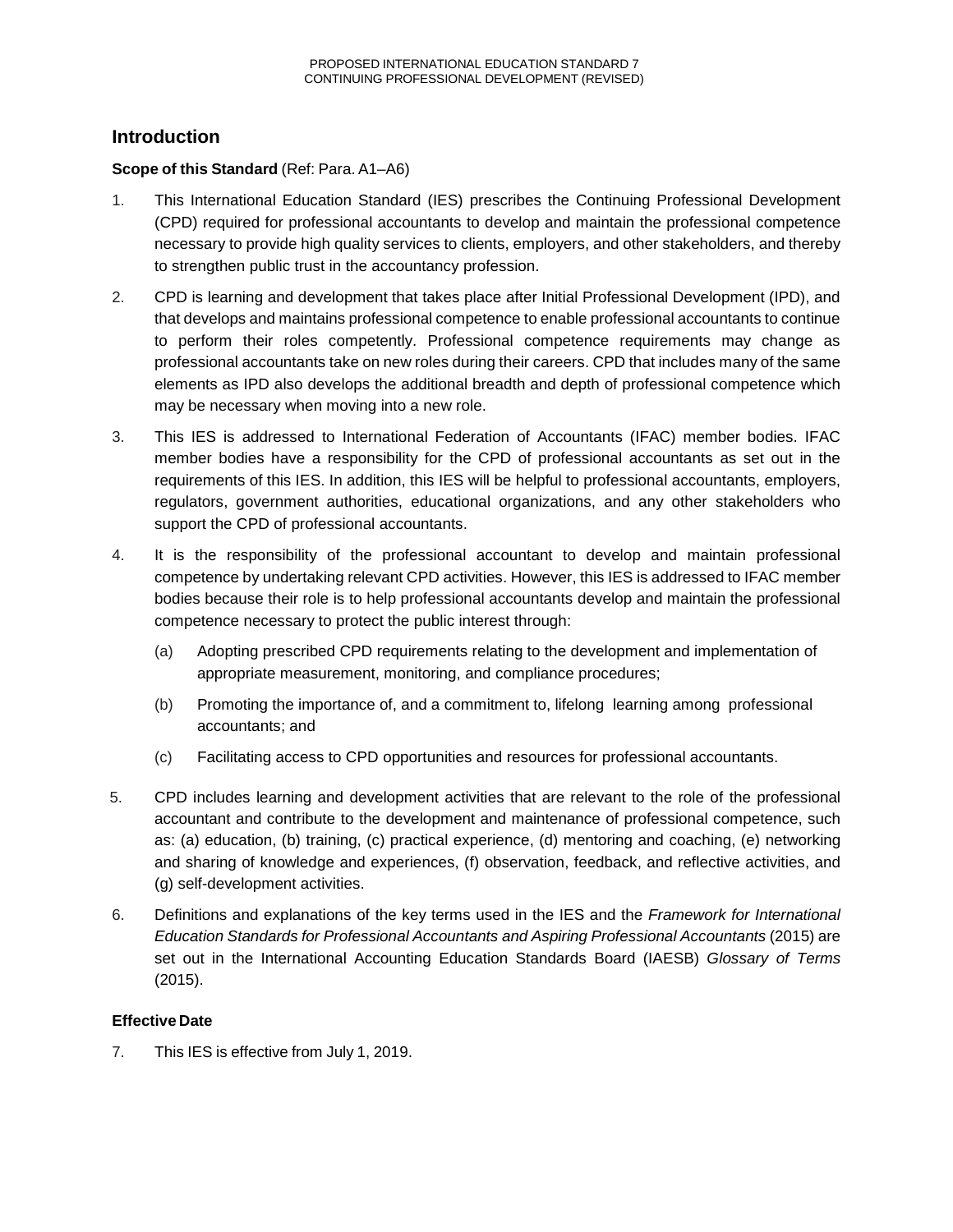# **Introduction**

### **Scope of this Standard** (Ref: Para. A1–A6)

- 1. This International Education Standard (IES) prescribes the Continuing Professional Development (CPD) required for professional accountants to develop and maintain the professional competence necessary to provide high quality services to clients, employers, and other stakeholders, and thereby to strengthen public trust in the accountancy profession.
- 2. CPD is learning and development that takes place after Initial Professional Development (IPD), and that develops and maintains professional competence to enable professional accountants to continue to perform their roles competently. Professional competence requirements may change as professional accountants take on new roles during their careers. CPD that includes many of the same elements as IPD also develops the additional breadth and depth of professional competence which may be necessary when moving into a new role.
- 3. This IES is addressed to International Federation of Accountants (IFAC) member bodies. IFAC member bodies have a responsibility for the CPD of professional accountants as set out in the requirements of this IES. In addition, this IES will be helpful to professional accountants, employers, regulators, government authorities, educational organizations, and any other stakeholders who support the CPD of professional accountants.
- 4. It is the responsibility of the professional accountant to develop and maintain professional competence by undertaking relevant CPD activities. However, this IES is addressed to IFAC member bodies because their role is to help professional accountants develop and maintain the professional competence necessary to protect the public interest through:
	- (a) Adopting prescribed CPD requirements relating to the development and implementation of appropriate measurement, monitoring, and compliance procedures;
	- (b) Promoting the importance of, and a commitment to, lifelong learning among professional accountants; and
	- (c) Facilitating access to CPD opportunities and resources for professional accountants.
- 5. CPD includes learning and development activities that are relevant to the role of the professional accountant and contribute to the development and maintenance of professional competence, such as: (a) education, (b) training, (c) practical experience, (d) mentoring and coaching, (e) networking and sharing of knowledge and experiences, (f) observation, feedback, and reflective activities, and (g) self-development activities.
- 6. Definitions and explanations of the key terms used in the IES and the *Framework for International Education Standards for Professional Accountants and Aspiring Professional Accountants* (2015) are set out in the International Accounting Education Standards Board (IAESB) *Glossary of Terms*  (2015).

# **Effective Date**

7. This IES is effective from July 1, 2019.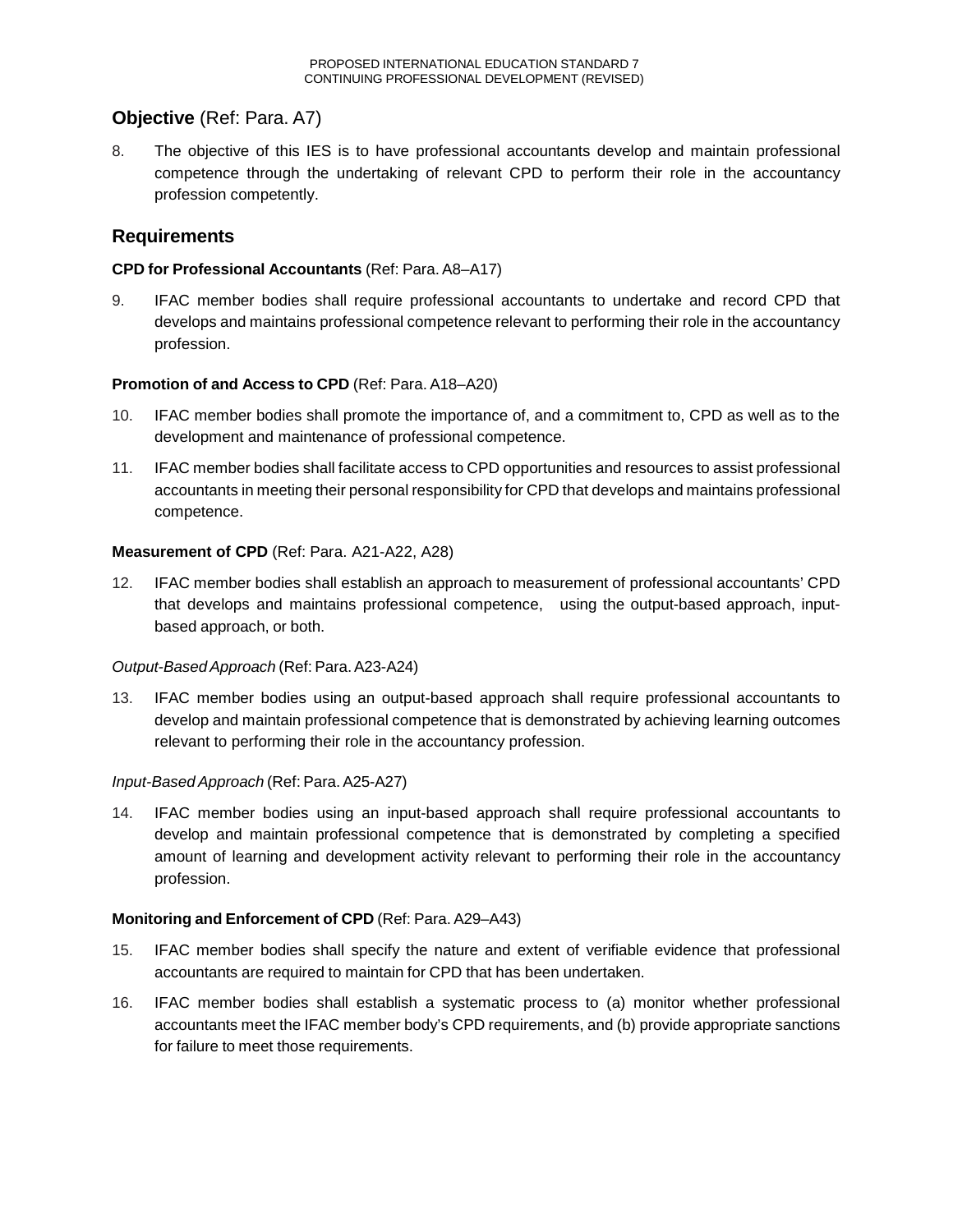# **Objective** (Ref: Para. A7)

8. The objective of this IES is to have professional accountants develop and maintain professional competence through the undertaking of relevant CPD to perform their role in the accountancy profession competently.

# **Requirements**

### **CPD for Professional Accountants** (Ref: Para. A8–A17)

9. IFAC member bodies shall require professional accountants to undertake and record CPD that develops and maintains professional competence relevant to performing their role in the accountancy profession.

### **Promotion of and Access to CPD** (Ref: Para. A18–A20)

- 10. IFAC member bodies shall promote the importance of, and a commitment to, CPD as well as to the development and maintenance of professional competence.
- 11. IFAC member bodies shall facilitate access to CPD opportunities and resources to assist professional accountants in meeting their personal responsibility for CPD that develops and maintains professional competence.

### **Measurement of CPD** (Ref: Para. A21-A22, A28)

12. IFAC member bodies shall establish an approach to measurement of professional accountants' CPD that develops and maintains professional competence, using the output-based approach, inputbased approach, or both.

#### *Output-Based Approach* (Ref: Para.A23-A24)

13. IFAC member bodies using an output-based approach shall require professional accountants to develop and maintain professional competence that is demonstrated by achieving learning outcomes relevant to performing their role in the accountancy profession.

#### *Input-Based Approach* (Ref: Para.A25-A27)

14. IFAC member bodies using an input-based approach shall require professional accountants to develop and maintain professional competence that is demonstrated by completing a specified amount of learning and development activity relevant to performing their role in the accountancy profession.

#### **Monitoring and Enforcement of CPD** (Ref: Para. A29–A43)

- 15. IFAC member bodies shall specify the nature and extent of verifiable evidence that professional accountants are required to maintain for CPD that has been undertaken.
- 16. IFAC member bodies shall establish a systematic process to (a) monitor whether professional accountants meet the IFAC member body's CPD requirements, and (b) provide appropriate sanctions for failure to meet those requirements.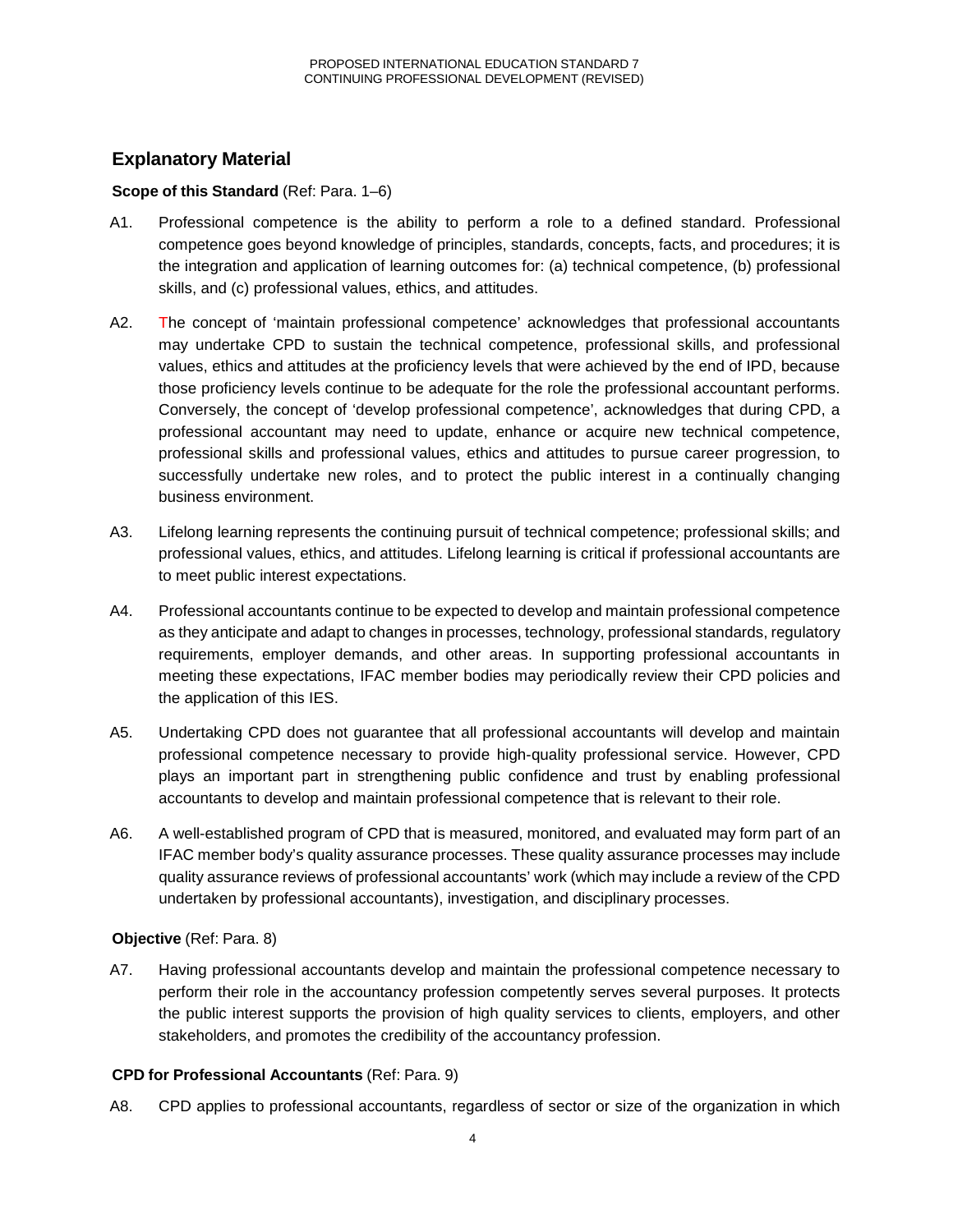# **Explanatory Material**

# **Scope of this Standard** (Ref: Para. 1–6)

- A1. Professional competence is the ability to perform a role to a defined standard. Professional competence goes beyond knowledge of principles, standards, concepts, facts, and procedures; it is the integration and application of learning outcomes for: (a) technical competence, (b) professional skills, and (c) professional values, ethics, and attitudes.
- A2. The concept of 'maintain professional competence' acknowledges that professional accountants may undertake CPD to sustain the technical competence, professional skills, and professional values, ethics and attitudes at the proficiency levels that were achieved by the end of IPD, because those proficiency levels continue to be adequate for the role the professional accountant performs. Conversely, the concept of 'develop professional competence', acknowledges that during CPD, a professional accountant may need to update, enhance or acquire new technical competence, professional skills and professional values, ethics and attitudes to pursue career progression, to successfully undertake new roles, and to protect the public interest in a continually changing business environment.
- A3. Lifelong learning represents the continuing pursuit of technical competence; professional skills; and professional values, ethics, and attitudes. Lifelong learning is critical if professional accountants are to meet public interest expectations.
- A4. Professional accountants continue to be expected to develop and maintain professional competence as they anticipate and adapt to changes in processes, technology, professional standards, regulatory requirements, employer demands, and other areas. In supporting professional accountants in meeting these expectations, IFAC member bodies may periodically review their CPD policies and the application of this IES.
- A5. Undertaking CPD does not guarantee that all professional accountants will develop and maintain professional competence necessary to provide high-quality professional service. However, CPD plays an important part in strengthening public confidence and trust by enabling professional accountants to develop and maintain professional competence that is relevant to their role.
- A6. A well-established program of CPD that is measured, monitored, and evaluated may form part of an IFAC member body's quality assurance processes. These quality assurance processes may include quality assurance reviews of professional accountants' work (which may include a review of the CPD undertaken by professional accountants), investigation, and disciplinary processes.

# **Objective** (Ref: Para. 8)

A7. Having professional accountants develop and maintain the professional competence necessary to perform their role in the accountancy profession competently serves several purposes. It protects the public interest supports the provision of high quality services to clients, employers, and other stakeholders, and promotes the credibility of the accountancy profession.

# **CPD for Professional Accountants** (Ref: Para. 9)

A8. CPD applies to professional accountants, regardless of sector or size of the organization in which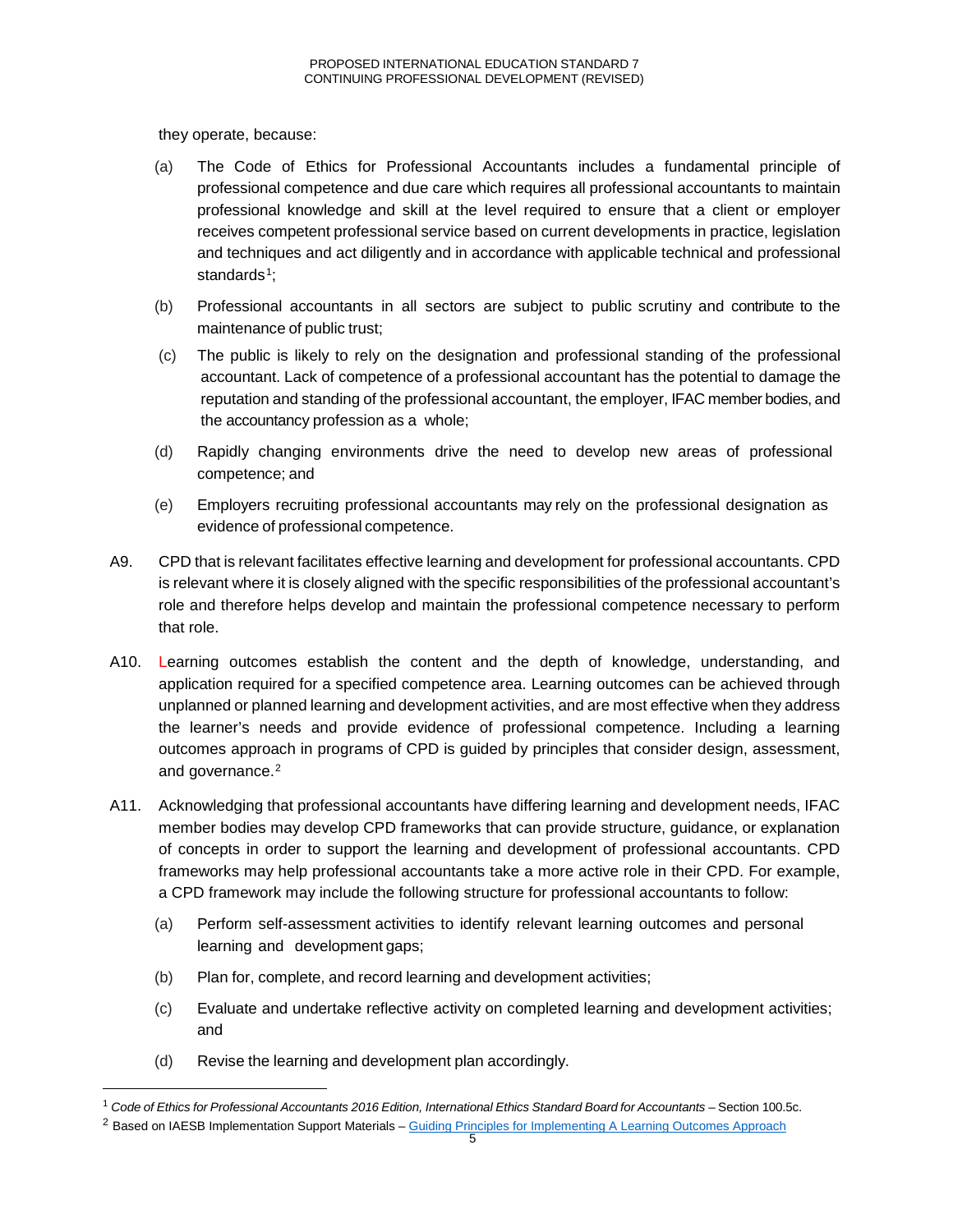they operate, because:

- (a) The Code of Ethics for Professional Accountants includes a fundamental principle of professional competence and due care which requires all professional accountants to maintain professional knowledge and skill at the level required to ensure that a client or employer receives competent professional service based on current developments in practice, legislation and techniques and act diligently and in accordance with applicable technical and professional standards<sup>1</sup>;
- (b) Professional accountants in all sectors are subject to public scrutiny and contribute to the maintenance of public trust;
- (c) The public is likely to rely on the designation and professional standing of the professional accountant. Lack of competence of a professional accountant has the potential to damage the reputation and standing of the professional accountant, the employer, IFAC member bodies, and the accountancy profession as a whole;
- (d) Rapidly changing environments drive the need to develop new areas of professional competence; and
- (e) Employers recruiting professional accountants may rely on the professional designation as evidence of professional competence.
- A9. CPD that is relevant facilitates effective learning and development for professional accountants. CPD is relevant where it is closely aligned with the specific responsibilities of the professional accountant's role and therefore helps develop and maintain the professional competence necessary to perform that role.
- A10. Learning outcomes establish the content and the depth of knowledge, understanding, and application required for a specified competence area. Learning outcomes can be achieved through unplanned or planned learning and development activities, and are most effective when they address the learner's needs and provide evidence of professional competence. Including a learning outcomes approach in programs of CPD is guided by principles that consider design, assessment, and governance.<sup>[2](#page-4-1)</sup>
- A11. Acknowledging that professional accountants have differing learning and development needs, IFAC member bodies may develop CPD frameworks that can provide structure, guidance, or explanation of concepts in order to support the learning and development of professional accountants. CPD frameworks may help professional accountants take a more active role in their CPD. For example, a CPD framework may include the following structure for professional accountants to follow:
	- (a) Perform self-assessment activities to identify relevant learning outcomes and personal learning and development gaps;
	- (b) Plan for, complete, and record learning and development activities;
	- (c) Evaluate and undertake reflective activity on completed learning and development activities; and
	- (d) Revise the learning and development plan accordingly.

<span id="page-4-0"></span> $1$  Code of Ethics for Professional Accountants 2016 Edition, International Ethics Standard Board for Accountants - Section 100.5c.

<span id="page-4-1"></span><sup>&</sup>lt;sup>2</sup> Based on IAESB Implementation Support Materials – [Guiding Principles for Implementing A Learning Outcomes Approach](https://www.ifac.org/system/files/publications/files/IAESB-Guiding-Principles-for-Implementing-a-Learning-Outcomes-Approach.pdf)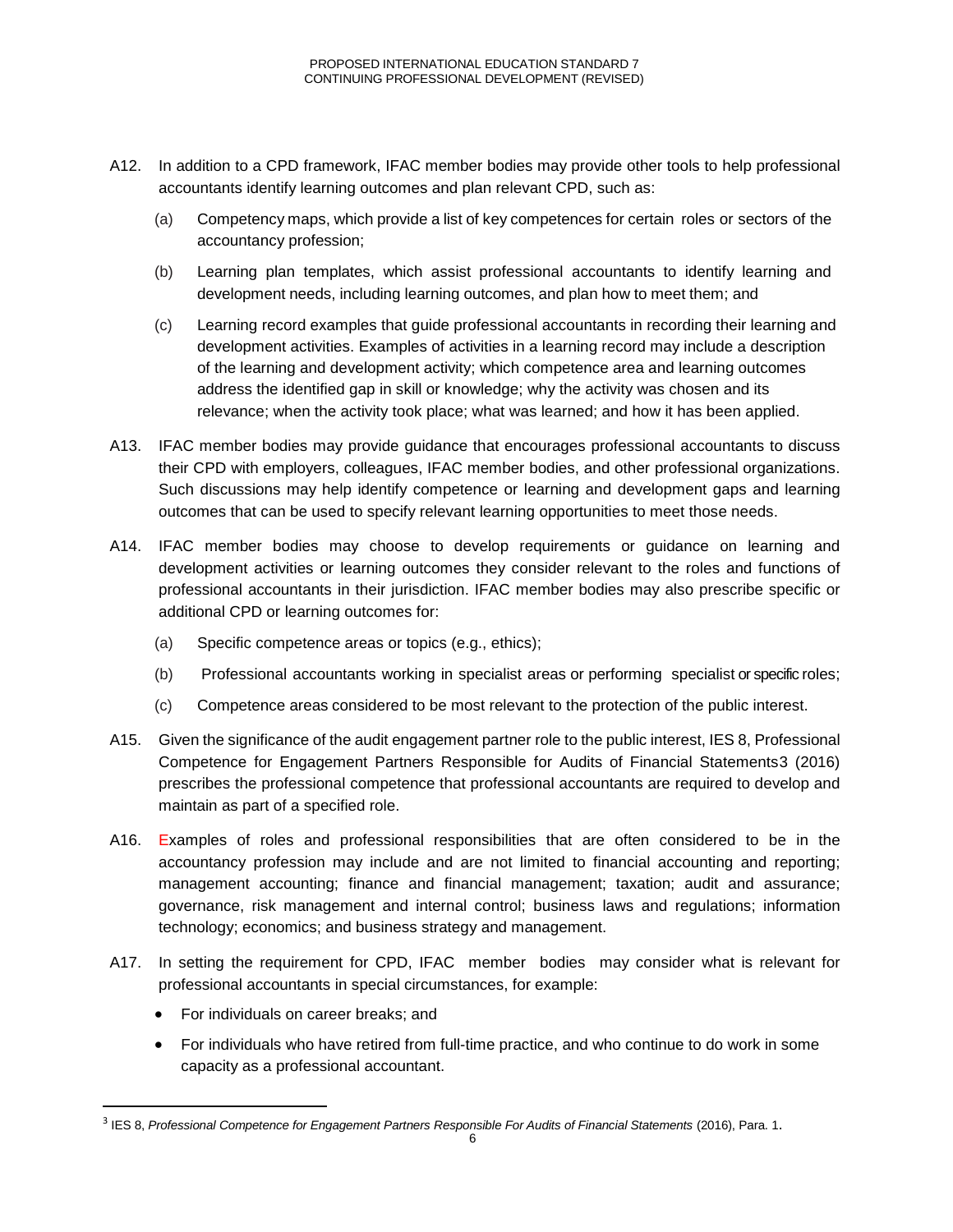- A12. In addition to a CPD framework, IFAC member bodies may provide other tools to help professional accountants identify learning outcomes and plan relevant CPD, such as:
	- (a) Competency maps, which provide a list of key competences for certain roles or sectors of the accountancy profession;
	- (b) Learning plan templates, which assist professional accountants to identify learning and development needs, including learning outcomes, and plan how to meet them; and
	- (c) Learning record examples that guide professional accountants in recording their learning and development activities. Examples of activities in a learning record may include a description of the learning and development activity; which competence area and learning outcomes address the identified gap in skill or knowledge; why the activity was chosen and its relevance; when the activity took place; what was learned; and how it has been applied.
- A13. IFAC member bodies may provide guidance that encourages professional accountants to discuss their CPD with employers, colleagues, IFAC member bodies, and other professional organizations. Such discussions may help identify competence or learning and development gaps and learning outcomes that can be used to specify relevant learning opportunities to meet those needs.
- A14. IFAC member bodies may choose to develop requirements or guidance on learning and development activities or learning outcomes they consider relevant to the roles and functions of professional accountants in their jurisdiction. IFAC member bodies may also prescribe specific or additional CPD or learning outcomes for:
	- (a) Specific competence areas or topics (e.g., ethics);
	- (b) Professional accountants working in specialist areas or performing specialist or specific roles;
	- (c) Competence areas considered to be most relevant to the protection of the public interest.
- A15. Given the significance of the audit engagement partner role to the public interest, IES 8, Professional Competence for Engagement Partners Responsible for Audits of Financial Statements[3](#page-5-0) (2016) prescribes the professional competence that professional accountants are required to develop and maintain as part of a specified role.
- A16. Examples of roles and professional responsibilities that are often considered to be in the accountancy profession may include and are not limited to financial accounting and reporting; management accounting; finance and financial management; taxation; audit and assurance; governance, risk management and internal control; business laws and regulations; information technology; economics; and business strategy and management.
- A17. In setting the requirement for CPD, IFAC member bodies may consider what is relevant for professional accountants in special circumstances, for example:
	- For individuals on career breaks; and
	- For individuals who have retired from full-time practice, and who continue to do work in some capacity as a professional accountant.

<span id="page-5-0"></span> <sup>3</sup> IES 8, *Professional Competence for Engagement Partners Responsible For Audits of Financial Statements* (2016), Para. 1.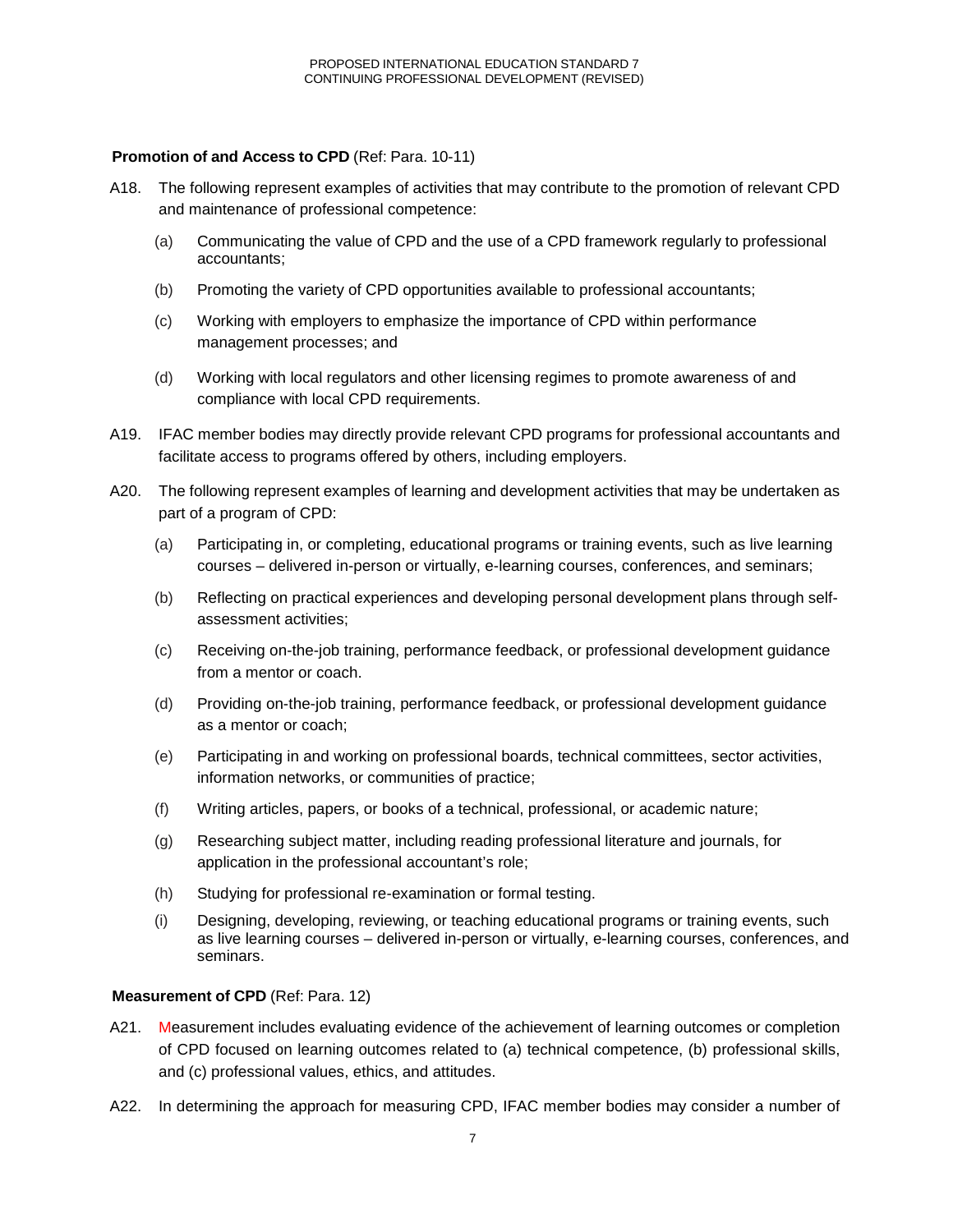### **Promotion of and Access to CPD** (Ref: Para. 10-11)

- A18. The following represent examples of activities that may contribute to the promotion of relevant CPD and maintenance of professional competence:
	- (a) Communicating the value of CPD and the use of a CPD framework regularly to professional accountants;
	- (b) Promoting the variety of CPD opportunities available to professional accountants;
	- (c) Working with employers to emphasize the importance of CPD within performance management processes; and
	- (d) Working with local regulators and other licensing regimes to promote awareness of and compliance with local CPD requirements.
- A19. IFAC member bodies may directly provide relevant CPD programs for professional accountants and facilitate access to programs offered by others, including employers.
- A20. The following represent examples of learning and development activities that may be undertaken as part of a program of CPD:
	- (a) Participating in, or completing, educational programs or training events, such as live learning courses – delivered in-person or virtually, e-learning courses, conferences, and seminars;
	- (b) Reflecting on practical experiences and developing personal development plans through selfassessment activities;
	- (c) Receiving on-the-job training, performance feedback, or professional development guidance from a mentor or coach.
	- (d) Providing on-the-job training, performance feedback, or professional development guidance as a mentor or coach;
	- (e) Participating in and working on professional boards, technical committees, sector activities, information networks, or communities of practice;
	- (f) Writing articles, papers, or books of a technical, professional, or academic nature;
	- (g) Researching subject matter, including reading professional literature and journals, for application in the professional accountant's role;
	- (h) Studying for professional re-examination or formal testing.
	- (i) Designing, developing, reviewing, or teaching educational programs or training events, such as live learning courses – delivered in-person or virtually, e-learning courses, conferences, and seminars.

# **Measurement of CPD** (Ref: Para. 12)

- A21. Measurement includes evaluating evidence of the achievement of learning outcomes or completion of CPD focused on learning outcomes related to (a) technical competence, (b) professional skills, and (c) professional values, ethics, and attitudes.
- A22. In determining the approach for measuring CPD, IFAC member bodies may consider a number of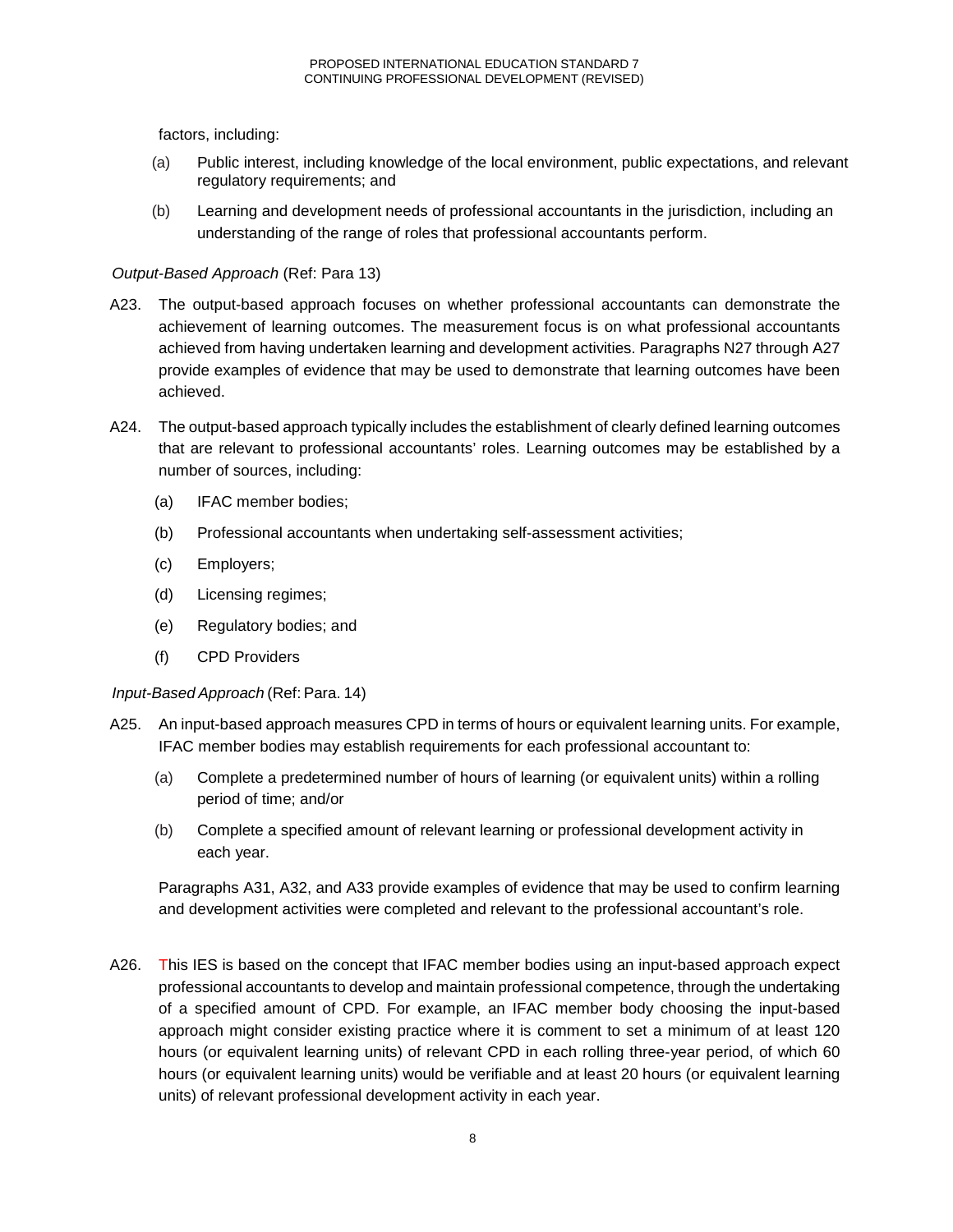factors, including:

- (a) Public interest, including knowledge of the local environment, public expectations, and relevant regulatory requirements; and
- (b) Learning and development needs of professional accountants in the jurisdiction, including an understanding of the range of roles that professional accountants perform.

# *Output-Based Approach* (Ref: Para 13)

- A23. The output-based approach focuses on whether professional accountants can demonstrate the achievement of learning outcomes. The measurement focus is on what professional accountants achieved from having undertaken learning and development activities. Paragraphs N27 through A27 provide examples of evidence that may be used to demonstrate that learning outcomes have been achieved.
- A24. The output-based approach typically includes the establishment of clearly defined learning outcomes that are relevant to professional accountants' roles. Learning outcomes may be established by a number of sources, including:
	- (a) IFAC member bodies;
	- (b) Professional accountants when undertaking self-assessment activities;
	- (c) Employers;
	- (d) Licensing regimes;
	- (e) Regulatory bodies; and
	- (f) CPD Providers

# *Input-Based Approach* (Ref: Para. 14)

- A25. An input-based approach measures CPD in terms of hours or equivalent learning units. For example, IFAC member bodies may establish requirements for each professional accountant to:
	- (a) Complete a predetermined number of hours of learning (or equivalent units) within a rolling period of time; and/or
	- (b) Complete a specified amount of relevant learning or professional development activity in each year.

Paragraphs A31, A32, and A33 provide examples of evidence that may be used to confirm learning and development activities were completed and relevant to the professional accountant's role.

A26. This IES is based on the concept that IFAC member bodies using an input-based approach expect professional accountants to develop and maintain professional competence, through the undertaking of a specified amount of CPD. For example, an IFAC member body choosing the input-based approach might consider existing practice where it is comment to set a minimum of at least 120 hours (or equivalent learning units) of relevant CPD in each rolling three-year period, of which 60 hours (or equivalent learning units) would be verifiable and at least 20 hours (or equivalent learning units) of relevant professional development activity in each year.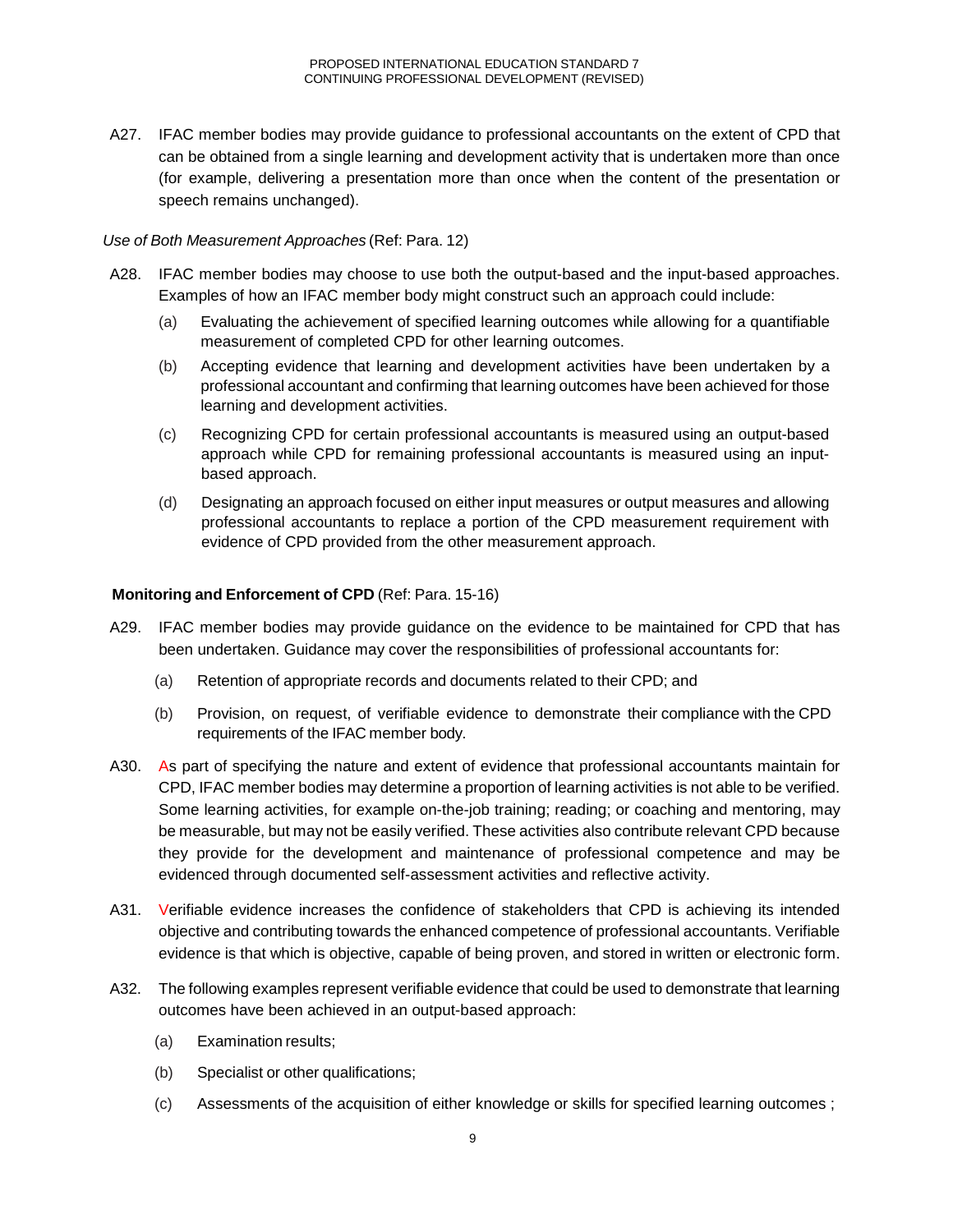A27. IFAC member bodies may provide guidance to professional accountants on the extent of CPD that can be obtained from a single learning and development activity that is undertaken more than once (for example, delivering a presentation more than once when the content of the presentation or speech remains unchanged).

### *Use of Both Measurement Approaches* (Ref: Para. 12)

- A28. IFAC member bodies may choose to use both the output-based and the input-based approaches. Examples of how an IFAC member body might construct such an approach could include:
	- (a) Evaluating the achievement of specified learning outcomes while allowing for a quantifiable measurement of completed CPD for other learning outcomes.
	- (b) Accepting evidence that learning and development activities have been undertaken by a professional accountant and confirming that learning outcomes have been achieved for those learning and development activities.
	- (c) Recognizing CPD for certain professional accountants is measured using an output-based approach while CPD for remaining professional accountants is measured using an inputbased approach.
	- (d) Designating an approach focused on either input measures or output measures and allowing professional accountants to replace a portion of the CPD measurement requirement with evidence of CPD provided from the other measurement approach.

### **Monitoring and Enforcement of CPD** (Ref: Para. 15-16)

- A29. IFAC member bodies may provide guidance on the evidence to be maintained for CPD that has been undertaken. Guidance may cover the responsibilities of professional accountants for:
	- (a) Retention of appropriate records and documents related to their CPD; and
	- (b) Provision, on request, of verifiable evidence to demonstrate their compliance with the CPD requirements of the IFAC member body.
- A30. As part of specifying the nature and extent of evidence that professional accountants maintain for CPD, IFAC member bodies may determine a proportion of learning activities is not able to be verified. Some learning activities, for example on-the-job training; reading; or coaching and mentoring, may be measurable, but may not be easily verified. These activities also contribute relevant CPD because they provide for the development and maintenance of professional competence and may be evidenced through documented self-assessment activities and reflective activity.
- A31. Verifiable evidence increases the confidence of stakeholders that CPD is achieving its intended objective and contributing towards the enhanced competence of professional accountants. Verifiable evidence is that which is objective, capable of being proven, and stored in written or electronic form.
- A32. The following examples represent verifiable evidence that could be used to demonstrate that learning outcomes have been achieved in an output-based approach:
	- (a) Examination results;
	- (b) Specialist or other qualifications;
	- (c) Assessments of the acquisition of either knowledge or skills for specified learning outcomes ;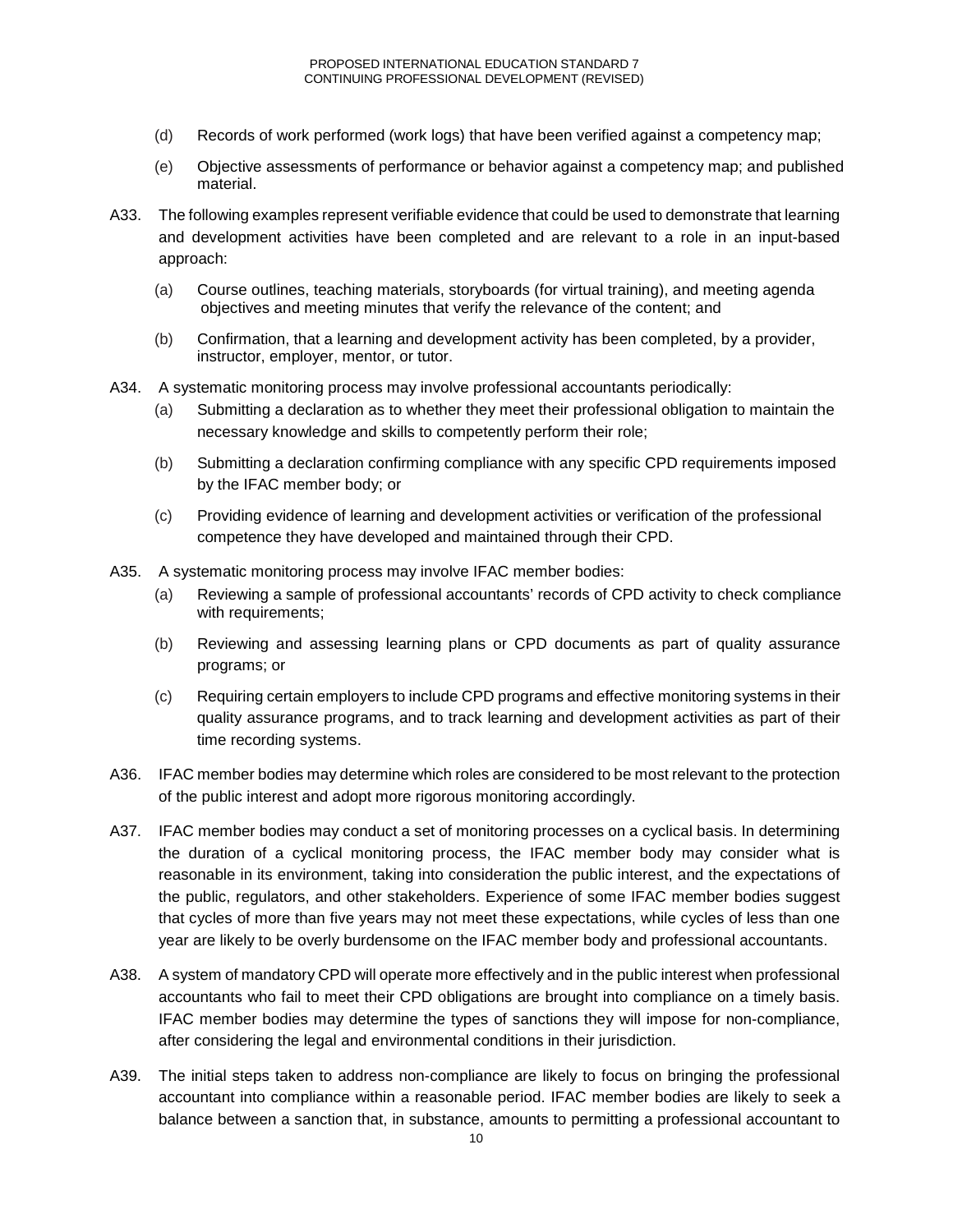- (d) Records of work performed (work logs) that have been verified against a competency map;
- (e) Objective assessments of performance or behavior against a competency map; and published material.
- A33. The following examples represent verifiable evidence that could be used to demonstrate that learning and development activities have been completed and are relevant to a role in an input-based approach:
	- (a) Course outlines, teaching materials, storyboards (for virtual training), and meeting agenda objectives and meeting minutes that verify the relevance of the content; and
	- (b) Confirmation, that a learning and development activity has been completed, by a provider, instructor, employer, mentor, or tutor.
- A34. A systematic monitoring process may involve professional accountants periodically:
	- (a) Submitting a declaration as to whether they meet their professional obligation to maintain the necessary knowledge and skills to competently perform their role;
	- (b) Submitting a declaration confirming compliance with any specific CPD requirements imposed by the IFAC member body; or
	- (c) Providing evidence of learning and development activities or verification of the professional competence they have developed and maintained through their CPD.
- A35. A systematic monitoring process may involve IFAC member bodies:
	- (a) Reviewing a sample of professional accountants' records of CPD activity to check compliance with requirements;
	- (b) Reviewing and assessing learning plans or CPD documents as part of quality assurance programs; or
	- (c) Requiring certain employers to include CPD programs and effective monitoring systems in their quality assurance programs, and to track learning and development activities as part of their time recording systems.
- A36. IFAC member bodies may determine which roles are considered to be most relevant to the protection of the public interest and adopt more rigorous monitoring accordingly.
- A37. IFAC member bodies may conduct a set of monitoring processes on a cyclical basis. In determining the duration of a cyclical monitoring process, the IFAC member body may consider what is reasonable in its environment, taking into consideration the public interest, and the expectations of the public, regulators, and other stakeholders. Experience of some IFAC member bodies suggest that cycles of more than five years may not meet these expectations, while cycles of less than one year are likely to be overly burdensome on the IFAC member body and professional accountants.
- A38. A system of mandatory CPD will operate more effectively and in the public interest when professional accountants who fail to meet their CPD obligations are brought into compliance on a timely basis. IFAC member bodies may determine the types of sanctions they will impose for non-compliance, after considering the legal and environmental conditions in their jurisdiction.
- A39. The initial steps taken to address non-compliance are likely to focus on bringing the professional accountant into compliance within a reasonable period. IFAC member bodies are likely to seek a balance between a sanction that, in substance, amounts to permitting a professional accountant to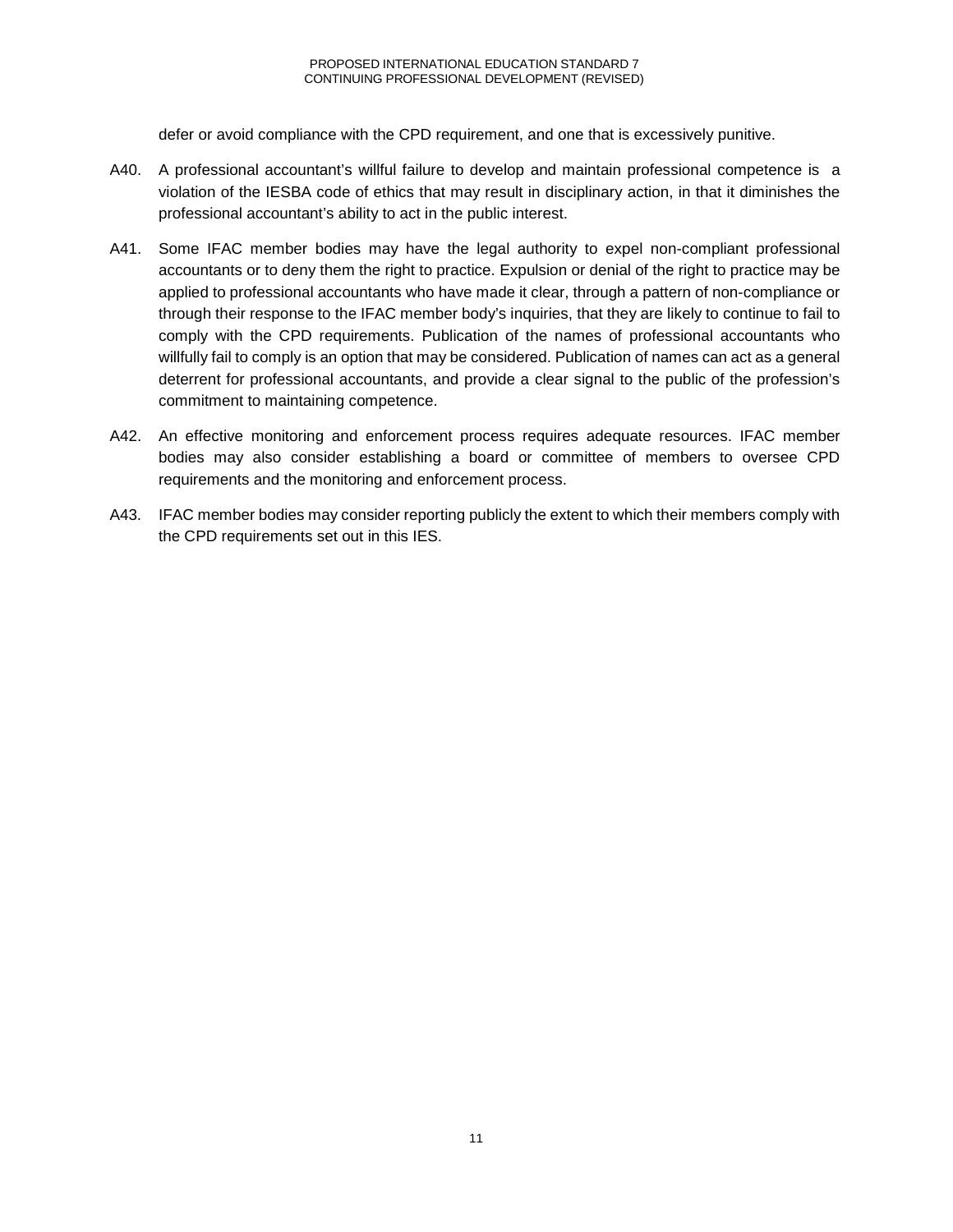defer or avoid compliance with the CPD requirement, and one that is excessively punitive.

- A40. A professional accountant's willful failure to develop and maintain professional competence is a violation of the IESBA code of ethics that may result in disciplinary action, in that it diminishes the professional accountant's ability to act in the public interest.
- A41. Some IFAC member bodies may have the legal authority to expel non-compliant professional accountants or to deny them the right to practice. Expulsion or denial of the right to practice may be applied to professional accountants who have made it clear, through a pattern of non-compliance or through their response to the IFAC member body's inquiries, that they are likely to continue to fail to comply with the CPD requirements. Publication of the names of professional accountants who willfully fail to comply is an option that may be considered. Publication of names can act as a general deterrent for professional accountants, and provide a clear signal to the public of the profession's commitment to maintaining competence.
- A42. An effective monitoring and enforcement process requires adequate resources. IFAC member bodies may also consider establishing a board or committee of members to oversee CPD requirements and the monitoring and enforcement process.
- A43. IFAC member bodies may consider reporting publicly the extent to which their members comply with the CPD requirements set out in this IES.